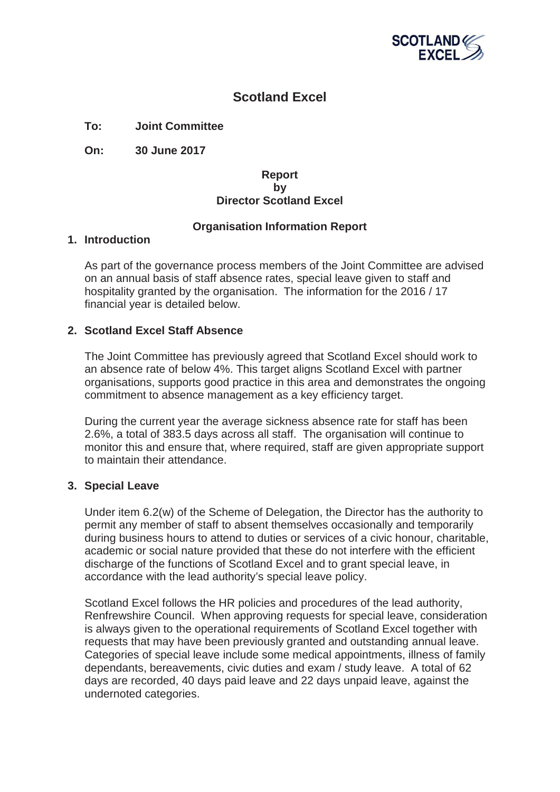

# **Scotland Excel**

**To: Joint Committee**

**On: 30 June 2017**

#### **Report by Director Scotland Excel**

## **Organisation Information Report**

#### **1. Introduction**

As part of the governance process members of the Joint Committee are advised on an annual basis of staff absence rates, special leave given to staff and hospitality granted by the organisation. The information for the 2016 / 17 financial year is detailed below.

## **2. Scotland Excel Staff Absence**

The Joint Committee has previously agreed that Scotland Excel should work to an absence rate of below 4%. This target aligns Scotland Excel with partner organisations, supports good practice in this area and demonstrates the ongoing commitment to absence management as a key efficiency target.

During the current year the average sickness absence rate for staff has been 2.6%, a total of 383.5 days across all staff. The organisation will continue to monitor this and ensure that, where required, staff are given appropriate support to maintain their attendance.

## **3. Special Leave**

Under item 6.2(w) of the Scheme of Delegation, the Director has the authority to permit any member of staff to absent themselves occasionally and temporarily during business hours to attend to duties or services of a civic honour, charitable, academic or social nature provided that these do not interfere with the efficient discharge of the functions of Scotland Excel and to grant special leave, in accordance with the lead authority's special leave policy.

Scotland Excel follows the HR policies and procedures of the lead authority, Renfrewshire Council. When approving requests for special leave, consideration is always given to the operational requirements of Scotland Excel together with requests that may have been previously granted and outstanding annual leave. Categories of special leave include some medical appointments, illness of family dependants, bereavements, civic duties and exam / study leave. A total of 62 days are recorded, 40 days paid leave and 22 days unpaid leave, against the undernoted categories.